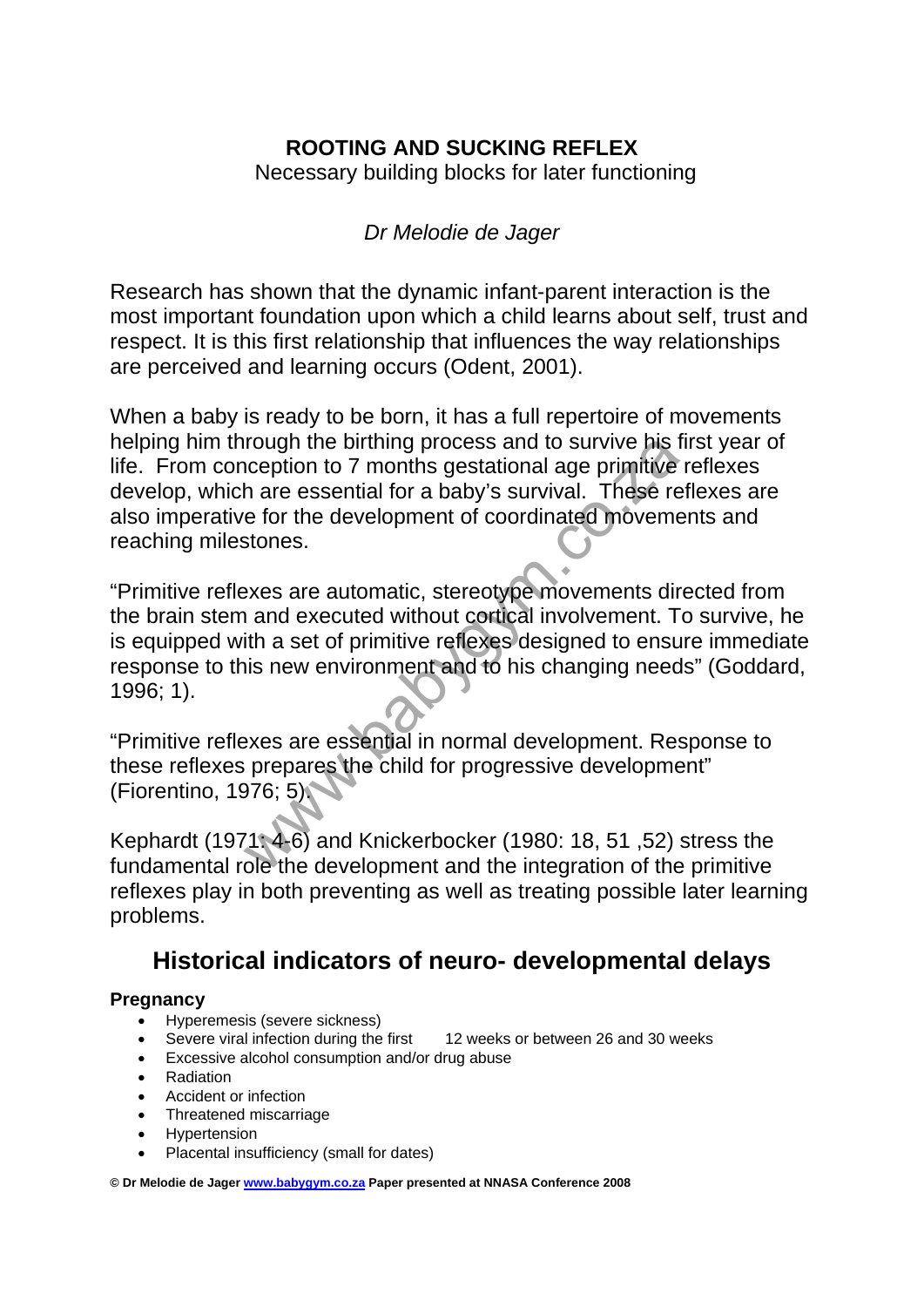# **ROOTING AND SUCKING REFLEX**

Necessary building blocks for later functioning

# *Dr Melodie de Jager*

Research has shown that the dynamic infant-parent interaction is the most important foundation upon which a child learns about self, trust and respect. It is this first relationship that influences the way relationships are perceived and learning occurs (Odent, 2001).

When a baby is ready to be born, it has a full repertoire of movements helping him through the birthing process and to survive his first year of life. From conception to 7 months gestational age primitive reflexes develop, which are essential for a baby's survival. These reflexes are also imperative for the development of coordinated movements and reaching milestones.

rough the birthing process and to survive his inception to 7 months gestational age primitive<br>h are essential for a baby's survival. These re<br>e for the development of coordinated moveme<br>stones.<br>exes are automatic, stereoty "Primitive reflexes are automatic, stereotype movements directed from the brain stem and executed without cortical involvement. To survive, he is equipped with a set of primitive reflexes designed to ensure immediate response to this new environment and to his changing needs" (Goddard, 1996; 1).

"Primitive reflexes are essential in normal development. Response to these reflexes prepares the child for progressive development" (Fiorentino, 1976; 5).

Kephardt (1971: 4-6) and Knickerbocker (1980: 18, 51 ,52) stress the fundamental role the development and the integration of the primitive reflexes play in both preventing as well as treating possible later learning problems.

# **Historical indicators of neuro- developmental delays**

### **Pregnancy**

- Hyperemesis (severe sickness)
- Severe viral infection during the first 12 weeks or between 26 and 30 weeks
- Excessive alcohol consumption and/or drug abuse
- Radiation
- Accident or infection
- Threatened miscarriage
- Hypertension
- Placental insufficiency (small for dates)

**© Dr Melodie de Jager www.babygym.co.za Paper presented at NNASA Conference 2008**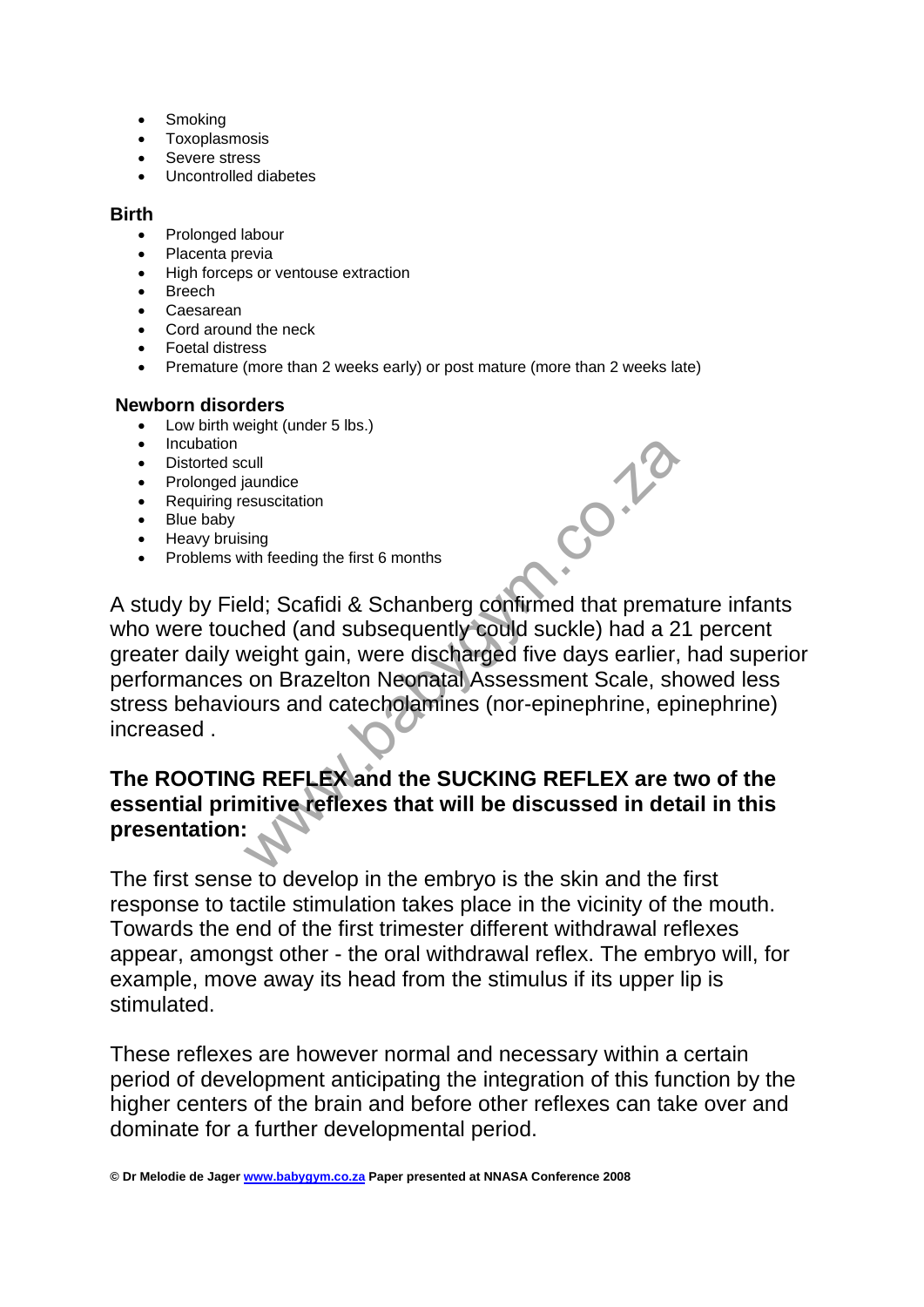- **Smoking**
- Toxoplasmosis
- Severe stress
- Uncontrolled diabetes

#### **Birth**

- Prolonged labour
- Placenta previa
- High forceps or ventouse extraction
- Breech
- Caesarean
- Cord around the neck
- Foetal distress
- Premature (more than 2 weeks early) or post mature (more than 2 weeks late)

#### **Newborn disorders**

- Low birth weight (under 5 lbs.)
- Incubation
- Distorted scull
- Prolonged jaundice
- Requiring resuscitation
- Blue baby
- Heavy bruising
- Problems with feeding the first 6 months

Buandice<br>
Sing<br>
Sing<br>
With feeding the first 6 months<br>
Pld; Scafidi & Schanberg confirmed that premached (and subsequently could suckle) had a 2<br>
veight gain, were discharged five days earlier,<br>
on Brazelton Neonatal Asses A study by Field; Scafidi & Schanberg confirmed that premature infants who were touched (and subsequently could suckle) had a 21 percent greater daily weight gain, were discharged five days earlier, had superior performances on Brazelton Neonatal Assessment Scale, showed less stress behaviours and catecholamines (nor-epinephrine, epinephrine) increased .

# **The ROOTING REFLEX and the SUCKING REFLEX are two of the essential primitive reflexes that will be discussed in detail in this presentation:**

The first sense to develop in the embryo is the skin and the first response to tactile stimulation takes place in the vicinity of the mouth. Towards the end of the first trimester different withdrawal reflexes appear, amongst other - the oral withdrawal reflex. The embryo will, for example, move away its head from the stimulus if its upper lip is stimulated.

These reflexes are however normal and necessary within a certain period of development anticipating the integration of this function by the higher centers of the brain and before other reflexes can take over and dominate for a further developmental period.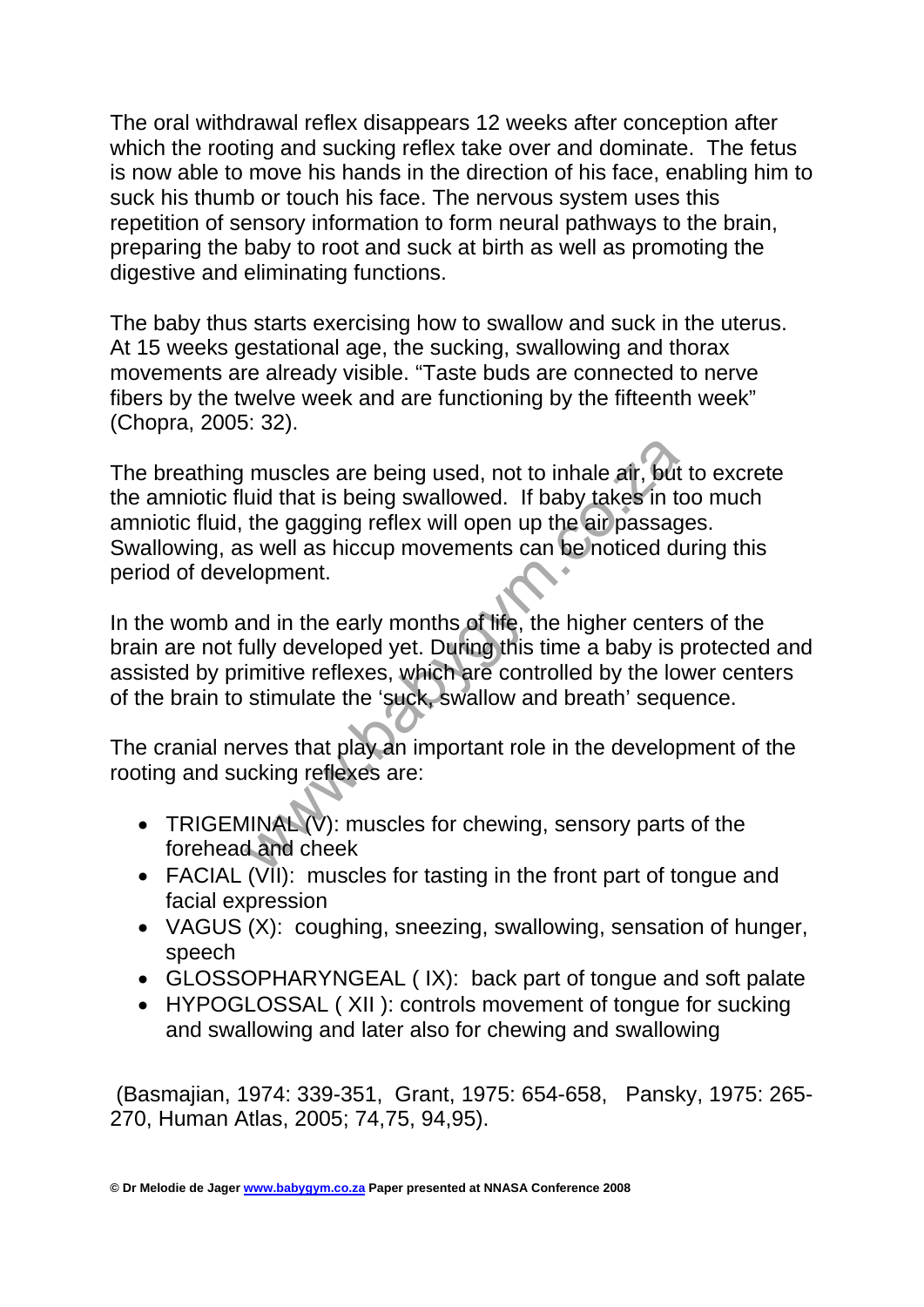The oral withdrawal reflex disappears 12 weeks after conception after which the rooting and sucking reflex take over and dominate. The fetus is now able to move his hands in the direction of his face, enabling him to suck his thumb or touch his face. The nervous system uses this repetition of sensory information to form neural pathways to the brain, preparing the baby to root and suck at birth as well as promoting the digestive and eliminating functions.

The baby thus starts exercising how to swallow and suck in the uterus. At 15 weeks gestational age, the sucking, swallowing and thorax movements are already visible. "Taste buds are connected to nerve fibers by the twelve week and are functioning by the fifteenth week" (Chopra, 2005: 32).

muscles are being used, not to inhale air, but<br>uid that is being swallowed. If baby takes in the gagging reflex will open up the air passag<br>s well as hiccup movements can be noticed d<br>elopment.<br>und in the early months of l The breathing muscles are being used, not to inhale air, but to excrete the amniotic fluid that is being swallowed. If baby takes in too much amniotic fluid, the gagging reflex will open up the air passages. Swallowing, as well as hiccup movements can be noticed during this period of development.

In the womb and in the early months of life, the higher centers of the brain are not fully developed yet. During this time a baby is protected and assisted by primitive reflexes, which are controlled by the lower centers of the brain to stimulate the 'suck, swallow and breath' sequence.

The cranial nerves that play an important role in the development of the rooting and sucking reflexes are:

- TRIGEMINAL (V): muscles for chewing, sensory parts of the forehead and cheek
- FACIAL (VII): muscles for tasting in the front part of tongue and facial expression
- VAGUS (X): coughing, sneezing, swallowing, sensation of hunger, speech
- GLOSSOPHARYNGEAL ( IX): back part of tongue and soft palate
- HYPOGLOSSAL (XII): controls movement of tonque for sucking and swallowing and later also for chewing and swallowing

 (Basmajian, 1974: 339-351, Grant, 1975: 654-658, Pansky, 1975: 265- 270, Human Atlas, 2005; 74,75, 94,95).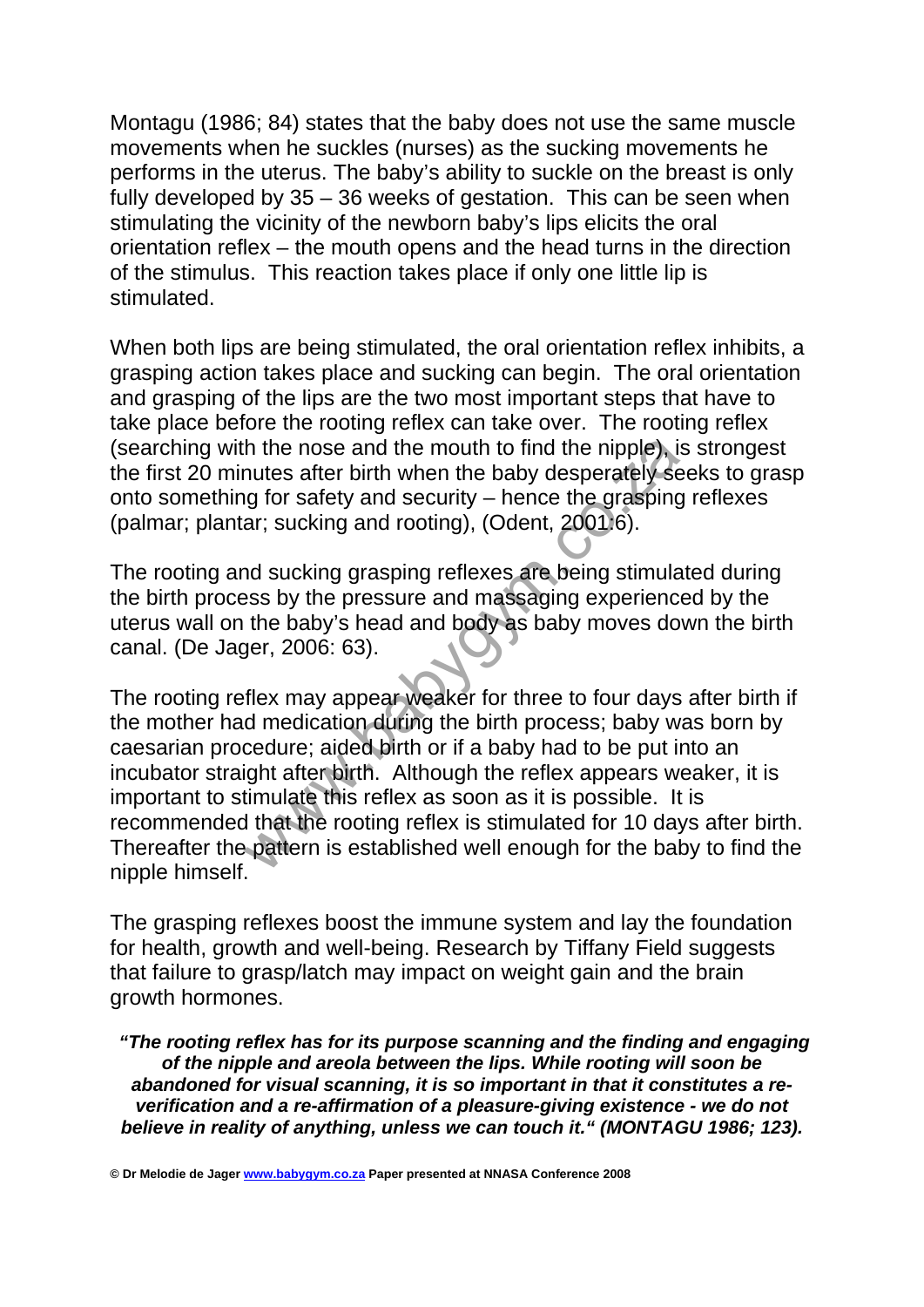Montagu (1986; 84) states that the baby does not use the same muscle movements when he suckles (nurses) as the sucking movements he performs in the uterus. The baby's ability to suckle on the breast is only fully developed by 35 – 36 weeks of gestation. This can be seen when stimulating the vicinity of the newborn baby's lips elicits the oral orientation reflex – the mouth opens and the head turns in the direction of the stimulus. This reaction takes place if only one little lip is stimulated.

When both lips are being stimulated, the oral orientation reflex inhibits, a grasping action takes place and sucking can begin. The oral orientation and grasping of the lips are the two most important steps that have to take place before the rooting reflex can take over. The rooting reflex (searching with the nose and the mouth to find the nipple), is strongest the first 20 minutes after birth when the baby desperately seeks to grasp onto something for safety and security – hence the grasping reflexes (palmar; plantar; sucking and rooting), (Odent, 2001:6).

The rooting and sucking grasping reflexes are being stimulated during the birth process by the pressure and massaging experienced by the uterus wall on the baby's head and body as baby moves down the birth canal. (De Jager, 2006: 63).

the nose and the mouth to find the nipple), in<br>the safter birth when the baby desperately set of or safety and security – hence the grasping<br>ar; sucking and rooting), (Odent, 2001.6).<br>and sucking grasping reflexes are bein The rooting reflex may appear weaker for three to four days after birth if the mother had medication during the birth process; baby was born by caesarian procedure; aided birth or if a baby had to be put into an incubator straight after birth. Although the reflex appears weaker, it is important to stimulate this reflex as soon as it is possible. It is recommended that the rooting reflex is stimulated for 10 days after birth. Thereafter the pattern is established well enough for the baby to find the nipple himself.

The grasping reflexes boost the immune system and lay the foundation for health, growth and well-being. Research by Tiffany Field suggests that failure to grasp/latch may impact on weight gain and the brain growth hormones.

 *"The rooting reflex has for its purpose scanning and the finding and engaging of the nipple and areola between the lips. While rooting will soon be abandoned for visual scanning, it is so important in that it constitutes a reverification and a re-affirmation of a pleasure-giving existence - we do not believe in reality of anything, unless we can touch it." (MONTAGU 1986; 123).* 

**© Dr Melodie de Jager www.babygym.co.za Paper presented at NNASA Conference 2008**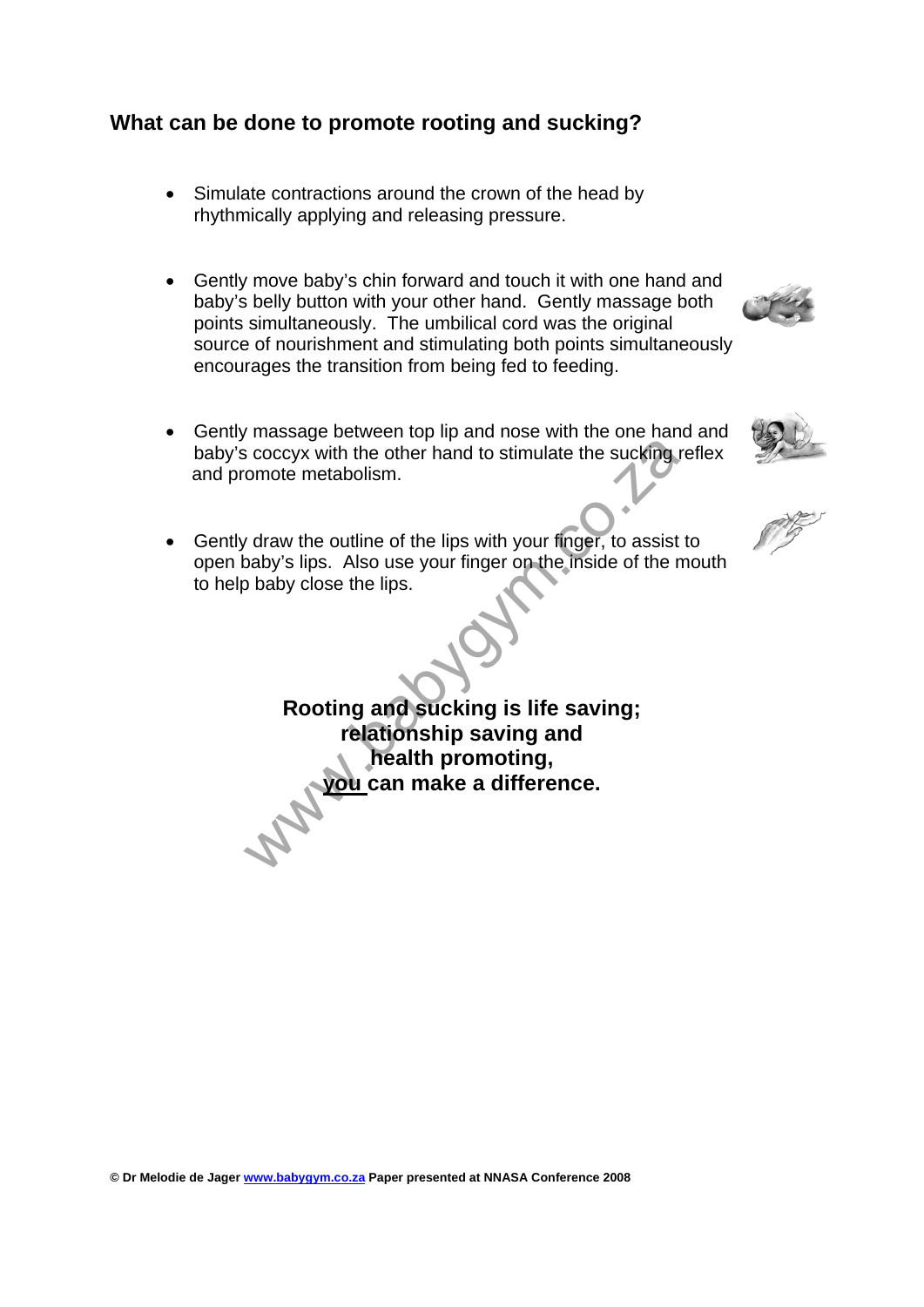## **What can be done to promote rooting and sucking?**

- Simulate contractions around the crown of the head by rhythmically applying and releasing pressure.
- Gently move baby's chin forward and touch it with one hand and baby's belly button with your other hand. Gently massage both points simultaneously. The umbilical cord was the original source of nourishment and stimulating both points simultaneously encourages the transition from being fed to feeding.
- Gently massage between top lip and nose with the one hand and baby's coccyx with the other hand to stimulate the sucking reflex and promote metabolism.
- 
- Gently draw the outline of the lips with your finger, to assist to open baby's lips. Also use your finger on the inside of the mouth to help baby close the lips.

which experience the sucking is a coccyx with the other hand to stimulate the sucking<br>omde metabolism.<br>A comment of the lips with your finger, to assist<br>baby's lips. Also use your finger on the inside of the r<br>baby close t **Rooting and sucking is life saving; relationship saving and health promoting, you can make a difference.** 



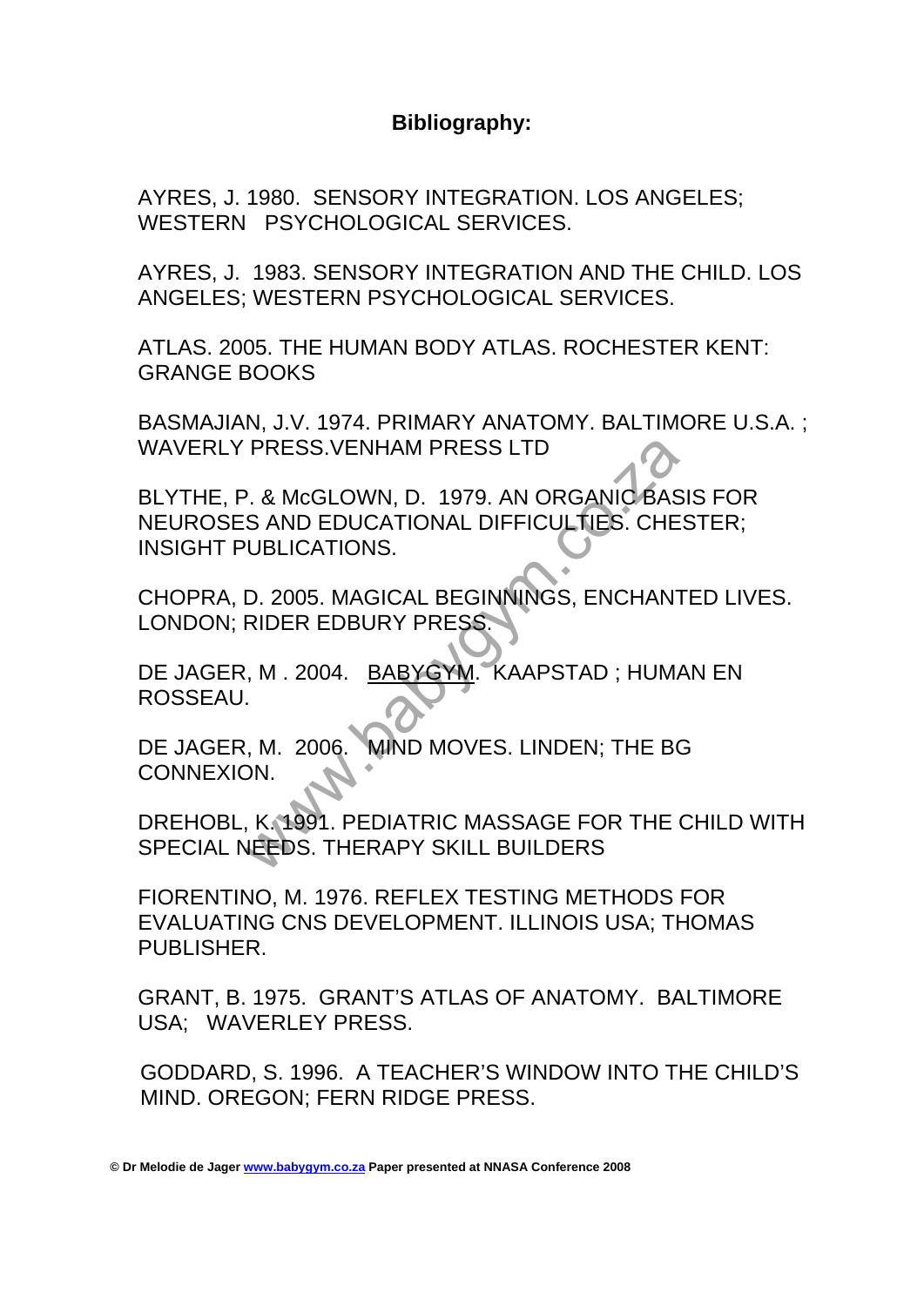## **Bibliography:**

AYRES, J. 1980. SENSORY INTEGRATION. LOS ANGELES; WESTERN PSYCHOLOGICAL SERVICES.

AYRES, J. 1983. SENSORY INTEGRATION AND THE CHILD. LOS ANGELES; WESTERN PSYCHOLOGICAL SERVICES.

ATLAS. 2005. THE HUMAN BODY ATLAS. ROCHESTER KENT: GRANGE BOOKS

BASMAJIAN, J.V. 1974. PRIMARY ANATOMY. BALTIMORE U.S.A. ; WAVERLY PRESS.VENHAM PRESS LTD

PRESS.VENHAM PRESS LTD<br>
P. & McGLOWN, D. 1979. AN ORGANIC BAS<br>
S. AND EDUCATIONAL DIFFICULTIES. CHE<br>
VUBLICATIONS.<br>
D. 2005. MAGICAL BEGINNINGS, ENCHANT<br>
RIDER EDBURY PRESS.<br>
N., M. 2004. BABYGYM. KAAPSTAD ; HUM.<br>
N., M. 2 BLYTHE, P. & McGLOWN, D. 1979. AN ORGANIC BASIS FOR NEUROSES AND EDUCATIONAL DIFFICULTIES. CHESTER; INSIGHT PUBLICATIONS.

CHOPRA, D. 2005. MAGICAL BEGINNINGS, ENCHANTED LIVES. LONDON; RIDER EDBURY PRESS.

DE JAGER, M . 2004. BABYGYM. KAAPSTAD ; HUMAN EN ROSSEAU.

DE JAGER, M. 2006. MIND MOVES. LINDEN; THE BG CONNEXION.

DREHOBL, K. 1991. PEDIATRIC MASSAGE FOR THE CHILD WITH SPECIAL NEEDS. THERAPY SKILL BUILDERS

FIORENTINO, M. 1976. REFLEX TESTING METHODS FOR EVALUATING CNS DEVELOPMENT. ILLINOIS USA; THOMAS PUBLISHER.

GRANT, B. 1975. GRANT'S ATLAS OF ANATOMY. BALTIMORE USA; WAVERLEY PRESS.

 GODDARD, S. 1996. A TEACHER'S WINDOW INTO THE CHILD'S MIND. OREGON; FERN RIDGE PRESS.